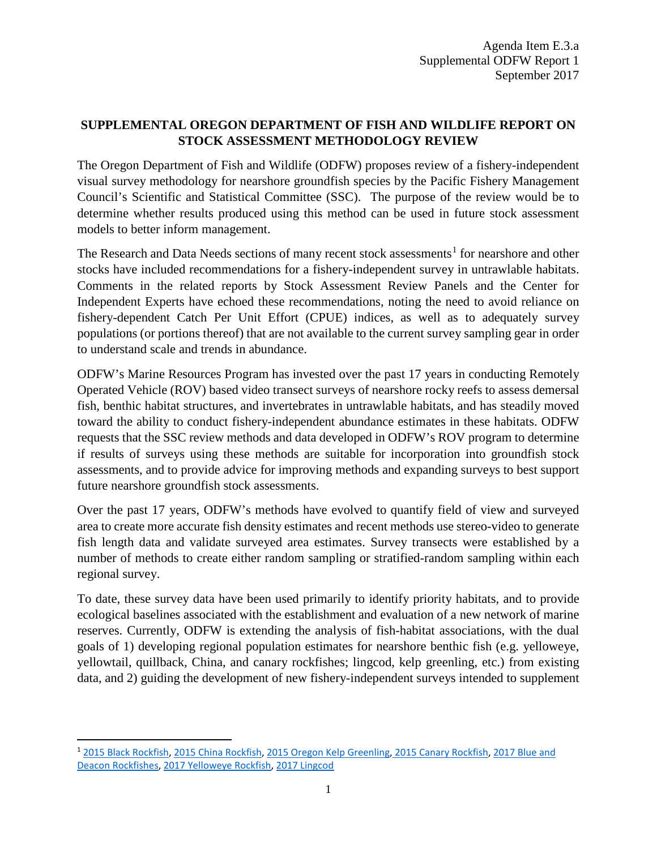## **SUPPLEMENTAL OREGON DEPARTMENT OF FISH AND WILDLIFE REPORT ON STOCK ASSESSMENT METHODOLOGY REVIEW**

The Oregon Department of Fish and Wildlife (ODFW) proposes review of a fishery-independent visual survey methodology for nearshore groundfish species by the Pacific Fishery Management Council's Scientific and Statistical Committee (SSC). The purpose of the review would be to determine whether results produced using this method can be used in future stock assessment models to better inform management.

The Research and Data Needs sections of many recent stock assessments<sup>[1](#page-0-0)</sup> for nearshore and other stocks have included recommendations for a fishery-independent survey in untrawlable habitats. Comments in the related reports by Stock Assessment Review Panels and the Center for Independent Experts have echoed these recommendations, noting the need to avoid reliance on fishery-dependent Catch Per Unit Effort (CPUE) indices, as well as to adequately survey populations (or portions thereof) that are not available to the current survey sampling gear in order to understand scale and trends in abundance.

ODFW's Marine Resources Program has invested over the past 17 years in conducting Remotely Operated Vehicle (ROV) based video transect surveys of nearshore rocky reefs to assess demersal fish, benthic habitat structures, and invertebrates in untrawlable habitats, and has steadily moved toward the ability to conduct fishery-independent abundance estimates in these habitats. ODFW requests that the SSC review methods and data developed in ODFW's ROV program to determine if results of surveys using these methods are suitable for incorporation into groundfish stock assessments, and to provide advice for improving methods and expanding surveys to best support future nearshore groundfish stock assessments.

Over the past 17 years, ODFW's methods have evolved to quantify field of view and surveyed area to create more accurate fish density estimates and recent methods use stereo-video to generate fish length data and validate surveyed area estimates. Survey transects were established by a number of methods to create either random sampling or stratified-random sampling within each regional survey.

To date, these survey data have been used primarily to identify priority habitats, and to provide ecological baselines associated with the establishment and evaluation of a new network of marine reserves. Currently, ODFW is extending the analysis of fish-habitat associations, with the dual goals of 1) developing regional population estimates for nearshore benthic fish (e.g. yelloweye, yellowtail, quillback, China, and canary rockfishes; lingcod, kelp greenling, etc.) from existing data, and 2) guiding the development of new fishery-independent surveys intended to supplement

<span id="page-0-0"></span> <sup>1</sup> [2015 Black Rockfish,](http://www.pcouncil.org/wp-content/uploads/2016/04/Black-rockfish-2015_FINAL.pdf) [2015 China Rockfish,](http://www.pcouncil.org/wp-content/uploads/2016/05/2015_China_assessment_Final.pdf) [2015 Oregon Kelp Greenling,](http://www.pcouncil.org/wp-content/uploads/2016/03/KelpGreenling2015_FINAL.pdf) [2015 Canary Rockfish,](http://www.pcouncil.org/wp-content/uploads/2016/05/Canary_2016_Final.pdf) [2017 Blue and](http://www.pcouncil.org/wp-content/uploads/2017/08/E8_Att9_BlueDeacon_FullDoc_E-Only_SEPT2017BB.pdf)  [Deacon Rockfishes,](http://www.pcouncil.org/wp-content/uploads/2017/08/E8_Att9_BlueDeacon_FullDoc_E-Only_SEPT2017BB.pdf) [2017 Yelloweye Rockfish,](http://www.pcouncil.org/wp-content/uploads/2017/08/E8_Att5_Yelloweye_FullDoc_E-Only_SEPT2017BB.pdf) [2017 Lingcod](http://www.pcouncil.org/wp-content/uploads/2017/08/E8_Att1_Lingcod_FullDoc_E-Only_SEPT2017BB.pdf)